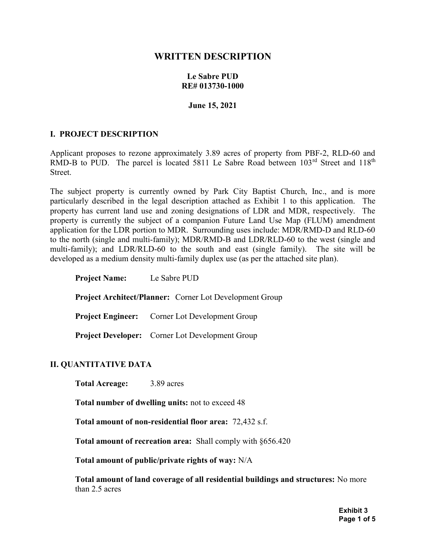# WRITTEN DESCRIPTION

#### Le Sabre PUD RE# 013730-1000

#### June 15, 2021

#### I. PROJECT DESCRIPTION

Applicant proposes to rezone approximately 3.89 acres of property from PBF-2, RLD-60 and RMD-B to PUD. The parcel is located 5811 Le Sabre Road between  $103<sup>rd</sup>$  Street and  $118<sup>th</sup>$ Street.

The subject property is currently owned by Park City Baptist Church, Inc., and is more particularly described in the legal description attached as Exhibit 1 to this application. The property has current land use and zoning designations of LDR and MDR, respectively. The property is currently the subject of a companion Future Land Use Map (FLUM) amendment application for the LDR portion to MDR. Surrounding uses include: MDR/RMD-D and RLD-60 to the north (single and multi-family); MDR/RMD-B and LDR/RLD-60 to the west (single and multi-family); and LDR/RLD-60 to the south and east (single family). The site will be developed as a medium density multi-family duplex use (as per the attached site plan).

| <b>Project Name:</b>                                           | Le Sabre PUD                                           |
|----------------------------------------------------------------|--------------------------------------------------------|
| <b>Project Architect/Planner:</b> Corner Lot Development Group |                                                        |
|                                                                | <b>Project Engineer:</b> Corner Lot Development Group  |
|                                                                | <b>Project Developer:</b> Corner Lot Development Group |

#### II. QUANTITATIVE DATA

Total Acreage: 3.89 acres

Total number of dwelling units: not to exceed 48

Total amount of non-residential floor area: 72,432 s.f.

Total amount of recreation area: Shall comply with §656.420

Total amount of public/private rights of way: N/A

Total amount of land coverage of all residential buildings and structures: No more than 2.5 acres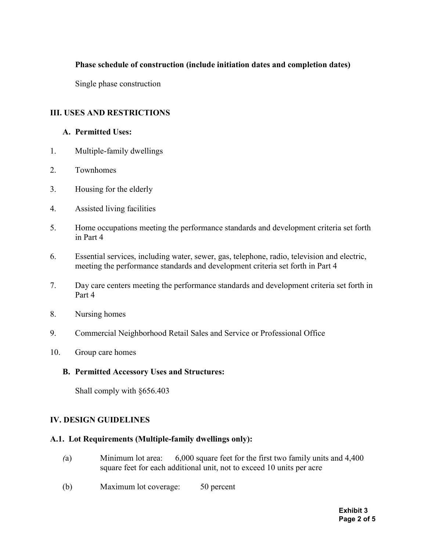## Phase schedule of construction (include initiation dates and completion dates)

Single phase construction

## III. USES AND RESTRICTIONS

#### A. Permitted Uses:

- 1. Multiple-family dwellings
- 2. Townhomes
- 3. Housing for the elderly
- 4. Assisted living facilities
- 5. Home occupations meeting the performance standards and development criteria set forth in Part 4
- 6. Essential services, including water, sewer, gas, telephone, radio, television and electric, meeting the performance standards and development criteria set forth in Part 4
- 7. Day care centers meeting the performance standards and development criteria set forth in Part 4
- 8. Nursing homes
- 9. Commercial Neighborhood Retail Sales and Service or Professional Office
- 10. Group care homes

#### B. Permitted Accessory Uses and Structures:

Shall comply with §656.403

### IV. DESIGN GUIDELINES

#### A.1. Lot Requirements (Multiple-family dwellings only):

- (a) Minimum lot area: 6,000 square feet for the first two family units and 4,400 square feet for each additional unit, not to exceed 10 units per acre
- (b) Maximum lot coverage: 50 percent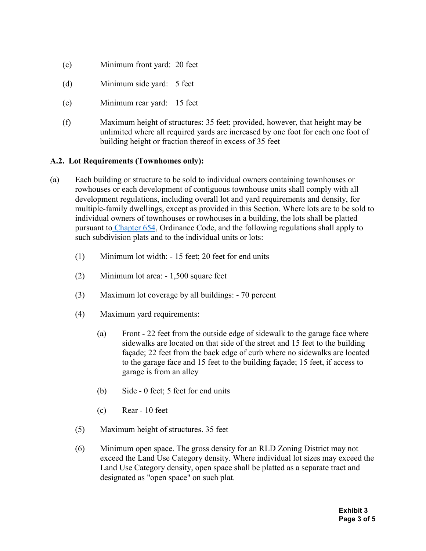- (c) Minimum front yard: 20 feet
- (d) Minimum side yard: 5 feet
- (e) Minimum rear yard: 15 feet
- (f) Maximum height of structures: 35 feet; provided, however, that height may be unlimited where all required yards are increased by one foot for each one foot of building height or fraction thereof in excess of 35 feet

### A.2. Lot Requirements (Townhomes only):

- (a) Each building or structure to be sold to individual owners containing townhouses or rowhouses or each development of contiguous townhouse units shall comply with all development regulations, including overall lot and yard requirements and density, for multiple-family dwellings, except as provided in this Section. Where lots are to be sold to individual owners of townhouses or rowhouses in a building, the lots shall be platted pursuant to Chapter 654, Ordinance Code, and the following regulations shall apply to such subdivision plats and to the individual units or lots:
	- (1) Minimum lot width: 15 feet; 20 feet for end units
	- (2) Minimum lot area: 1,500 square feet
	- (3) Maximum lot coverage by all buildings: 70 percent
	- (4) Maximum yard requirements:
		- (a) Front 22 feet from the outside edge of sidewalk to the garage face where sidewalks are located on that side of the street and 15 feet to the building façade; 22 feet from the back edge of curb where no sidewalks are located to the garage face and 15 feet to the building façade; 15 feet, if access to garage is from an alley
		- (b) Side 0 feet; 5 feet for end units
		- (c) Rear 10 feet
	- (5) Maximum height of structures. 35 feet
	- (6) Minimum open space. The gross density for an RLD Zoning District may not exceed the Land Use Category density. Where individual lot sizes may exceed the Land Use Category density, open space shall be platted as a separate tract and designated as "open space" on such plat.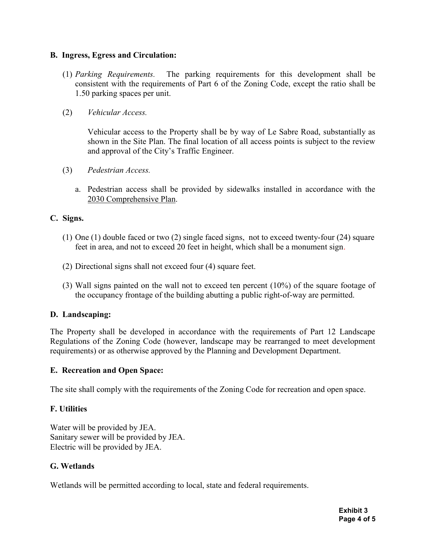## B. Ingress, Egress and Circulation:

- (1) Parking Requirements. The parking requirements for this development shall be consistent with the requirements of Part 6 of the Zoning Code, except the ratio shall be 1.50 parking spaces per unit.
- (2) Vehicular Access.

Vehicular access to the Property shall be by way of Le Sabre Road, substantially as shown in the Site Plan. The final location of all access points is subject to the review and approval of the City's Traffic Engineer.

- (3) Pedestrian Access.
	- a. Pedestrian access shall be provided by sidewalks installed in accordance with the 2030 Comprehensive Plan.

# C. Signs.

- (1) One (1) double faced or two (2) single faced signs, not to exceed twenty-four (24) square feet in area, and not to exceed 20 feet in height, which shall be a monument sign.
- (2) Directional signs shall not exceed four (4) square feet.
- (3) Wall signs painted on the wall not to exceed ten percent (10%) of the square footage of the occupancy frontage of the building abutting a public right-of-way are permitted.

# D. Landscaping:

The Property shall be developed in accordance with the requirements of Part 12 Landscape Regulations of the Zoning Code (however, landscape may be rearranged to meet development requirements) or as otherwise approved by the Planning and Development Department.

### E. Recreation and Open Space:

The site shall comply with the requirements of the Zoning Code for recreation and open space.

# F. Utilities

Water will be provided by JEA. Sanitary sewer will be provided by JEA. Electric will be provided by JEA.

### G. Wetlands

Wetlands will be permitted according to local, state and federal requirements.